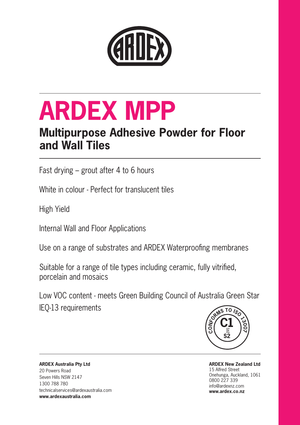

# **ARDEX MPP**

# **Multipurpose Adhesive Powder for Floor and Wall Tiles**

Fast drying – grout after 4 to 6 hours

White in colour - Perfect for translucent tiles

High Yield

Internal Wall and Floor Applications

Use on a range of substrates and ARDEX Waterproofing membranes

Suitable for a range of tile types including ceramic, fully vitrified, porcelain and mosaics

Low VOC content - meets Green Building Council of Australia Green Star IEQ-13 requirements



**ARDEX New Zealand Ltd** 15 Alfred Street Onehunga, Auckland, 1061 0800 227 339 info@ardexnz.com **www.ardex.co.nz**

**ARDEX Australia Pty Ltd**  20 Powers Road Seven Hills NSW 2147 1300 788 780 technicalservices@ardexaustralia.com **www.ardexaustralia.com**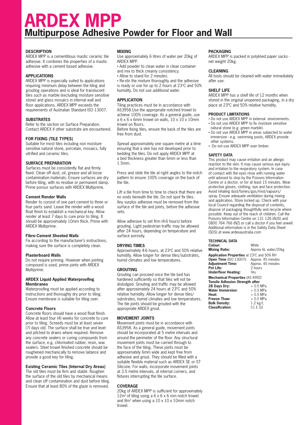# **ARDEX MPP Multipurpose Adhesive Powder for Floor and Wall**

# **DESCRIPTION**

ARDEX MPP is a cementitious mastic ceramic tile adhesive. It combines the properties of a mastic adhesive with a cement based adhesive.

### **APPLICATIONS**

ARDEX MPP is especially suited to applications requiring minimum delay between the tiling and grouting operations and is ideal for translucent tiles such as marble (excluding moisture sensitive stone) and glass mosaics in internal wall and floor applications. ARDEX MPP exceeds the requirements of Australian Standard ISO 13007.

# **SUBSTRATES**

Refer to the section on Surface Preparation. Contact ARDEX if other substrate are encountered.

# **FOR FIXING (TILE TYPES)**

Suitable for most tiles including non moisture sensitive natural stone, porcelain, mosaics, fully vitrified and ceramic tiles.

## **SURFACE PREPARATION**

Surfaces must be consistently flat and firmly fixed. Clean off dust, oil, grease and all loose contamination materials. Ensure surfaces are dry before tiling, with no residue or permanent damp. Prime porous surfaces with ARDEX Multiprime.

### **Cement Render Walls**

Render to consist of one part cement to three or four parts sand. Leave the render with a wood float finish to establish a mechanical key. Allow render at least 7 days to cure prior to tiling. It should be approximately 10mm thick. Prime with ARDEX Multiprime.

### **Fibre-Cement Sheeted Walls**

Fix according to the manufacturer's instructions, making sure the surface is completely clean.

# **Plasterboard Walls**

Do not require priming. However when jointing compound is used, prime joints with ARDEX Multiprime.

#### **ARDEX Liquid Applied Waterproofing Membranes**

Waterproofing must be applied according to instructions and thoroughly dry prior to tiling. Ensure membrane is suitable for tiling over.

### **Concrete Floors**

Concrete floors should have a wood float finish. Allow at least four (4) weeks for concrete to cure prior to tiling. Screeds must be at least seven (7) days old. The surface shall be true and level and pitched to drains where required. Remove any concrete sealers or curing compounds from the surface, e.g. chlorinated rubber, resin, wax sealers. Steel trowel finished concrete should be roughened mechanically to remove laitance and provide a good key for tiling.

### **Existing Ceramic Tiles (Internal Dry Areas)**

The old tiles must be firm and stable. Roughen the surface of the old tiles by mechanical means and clean off contamination and dust before tiling. Ensure that at least 80% of the glaze is removed.

# **MIXING**

Use approximately 6 litres of water per 20kg of ARDEX MPP.

- Add powder to clean water in clean container
- and mix to thick creamy consistency.
- Allow to stand for 2 minutes.

• Re-stir the mixture thoroughly and the adhesive is ready or use for up to 2 hours at  $23^{\circ}$ C and  $50\%$ humidity. Do not use additional water.

# **APPLICATION**

Tiling practices must be in accordance with AS3958.Use the appropriate notched trowel to achieve 100% coverage. As a general guide, use  $a 6 x 6 x 6$ mm trowel on walls,  $10 x 10 x 10$ mm trowel on floors.

Before fixing tiles, ensure the back of the tiles are free from dust.

Spread approximately one square metre at a time ensuring that a skin has not developed prior to bedding the tiles. Do not apply ARDEX MPP at a bed thickness greater than 6mm or less than 1.5mm.

Press and slide the tile at right angles to the notch pattern to ensure 100% coverage on the back of the tile.

Lift a tile from time to time to check that there are no voids beneath the tile. Do not spot fix tiles. Any surplus adhesive must be removed from the surface of the tile and joints, before the adhesive sets.

Allow adhesive to set firm (4-6 hours) before grouting. Light pedestrian traffic may be allowed after 24 hours, depending on temperature and surface porosity.

### **DRYING TIMES**

Approximately 4-6 hours, at 23°C and 50% relative humidity. Allow longer for dense tiles/substrates, humid climates and low temperatures.

# **GROUTING**

Grouting can proceed once the tile bed has hardened sufficiently so that tiles will not be dislodged. Grouting and traffic may be allowed after approximately 24 hours at 23ºC and 50% relative humidity. Allow longer for dense tiles/ substrates, humid climates and low temperatures. The tile joints should be grouted with the appropriate ARDEX grout.

# **MOVEMENT JOINTS**

Movement joints must be in accordance with AS3958. As a general guide, movement joints should be incorporated at 5 metre intervals and around the perimeter of the floor. Any structural movement joints must be carried through to the face of the tiling. These joints must be approximately 6mm wide and kept free from adhesive and grout. They should be filled with a suitable flexible material such as ARDEX SE or ST Silicone. For walls, incorporate movement joints at 3.5 metre intervals, at internal corners, and fixtures interrupting the tile surface.

### **COVERAGE**

20kg of ARDEX MPP is sufficient for approximately  $12m^2$  of tiling using a 6 x 6 x 6 mm notch trowel and 8m2 when using a 10 x 10 x 10mm notch trowel.

# **PACKAGING**

ARDEX MPP is packed in polylined paper sacks net weight 20kg.

#### **CLEANING**

All tools should be cleaned with water immediately after use.

## **SHELF LIFE**

ARDEX MPP has a shelf life of 12 months when stored in the original unopened packaging, in a dry place at 23ºC and 50% relative humidity.

### **PRODUCT LIMITATIONS**

- Do not use ARDEX MPP in external environments. • Do not use ARDEX MPP to fix moisture sensitive
- natural stone (e.g. green marble). • Do not use ARDEX MPP in areas subjected to water immersion - e.g. swimming pools, ARDEX provide other systems.
- Do not use ARDEX MPP over timber.

# **SAFETY DATA**

This product may cause irritation and an allergic reaction to the skin. It may cause serious eye injury and irritation to the respiratory system. In case of contact with the eyes rinse with running water until advised to stop by the Poisons Information Centre or a doctor, or for at least 15 minutes. Wear protective gloves, clothing, eye and face protection. Avoid inhaling dust/fumes/gas/mist/vapours/ spray. Ensure adequate ventilation during mixing and application. Store locked up. Check with your local Council regarding the disposal of contents, dispose of packaging thoughtfully and recycle where possible. Keep out of the reach of children. Call the Poisons Information Centre on 131 126 (AUS) and 0800 764 766 (NZ) or call a doctor if you feel unwell. Additional information is in the Safety Data Sheet (SDS) at www.ardexaustralia.com

# **TECHNICAL DATA**

| Colour:                                   | White                |
|-------------------------------------------|----------------------|
| <b>Mixing Ratio:</b>                      | Approx 6L water/20kg |
| Application Properties at 23°C and 50% RH |                      |
| <b>Open Time (ISO 13007):</b>             | Approx. 45 minutes   |
| <b>Adjustment Time:</b>                   | Approx. 45 minutes   |
| Pot Life:                                 | 2 hours              |
| <b>Underfloor Heating:</b>                | Yes                  |
| <b>Mechanical Properties (AS 4992)</b>    |                      |
| <b>Tensile Adhesion Strength after</b>    |                      |
| 28 Days Dry:                              | $> 0.5$ MPa          |
| <b>Water Immersion:</b>                   | $> 0.5$ MPa          |
| Heat:                                     | $> 0.5$ MPa          |
| Freeze Thaw:                              | $> 0.5$ MPa          |
| <b>Bulk Density:</b>                      | $1.2$ kg/L           |
| <b>Classification:</b>                    | C1 E S2              |